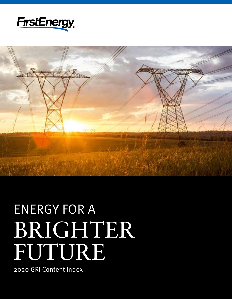



# ENERGY FOR A BRIGHTER FUTURE

2020 GRI Content Index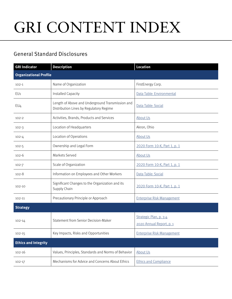## GRI CONTENT INDEX

## General Standard Disclosures

| <b>GRI Indicator</b>          | <b>Description</b>                                                                          | <b>Location</b>                   |
|-------------------------------|---------------------------------------------------------------------------------------------|-----------------------------------|
| <b>Organizational Profile</b> |                                                                                             |                                   |
| $102 - 1$                     | Name of Organization                                                                        | FirstEnergy Corp.                 |
| EU1                           | Installed Capacity                                                                          | Data Table: Environmental         |
| EU <sub>4</sub>               | Length of Above and Underground Transmission and<br>Distribution Lines by Regulatory Regime | Data Table: Social                |
| $102 - 2$                     | Activities, Brands, Products and Services                                                   | <b>About Us</b>                   |
| $102 - 3$                     | Location of Headquarters                                                                    | Akron, Ohio                       |
| $102 - 4$                     | Location of Operations                                                                      | About Us                          |
| $102 - 5$                     | Ownership and Legal Form                                                                    | 2020 Form 10-K, Part 1, p. 1      |
| $102 - 6$                     | Markets Served                                                                              | About Us                          |
| $102 - 7$                     | Scale of Organization                                                                       | 2020 Form 10-K, Part 1, p. 1      |
| $102 - 8$                     | Information on Employees and Other Workers                                                  | Data Table: Social                |
| $102 - 10$                    | Significant Changes to the Organization and its<br>Supply Chain                             | 2020 Form 10-K, Part 1, p. 1      |
| 102-11                        | Precautionary Principle or Approach                                                         | <b>Enterprise Risk Management</b> |
| <b>Strategy</b>               |                                                                                             |                                   |
| 102-14                        | Statement from Senior Decision-Maker                                                        | Strategic Plan, p. 3-4            |
|                               |                                                                                             | 2020 Annual Report, p. 1          |
| $102 - 15$                    | Key Impacts, Risks and Opportunities                                                        | <b>Enterprise Risk Management</b> |
| <b>Ethics and Integrity</b>   |                                                                                             |                                   |
| $102 - 16$                    | Values, Principles, Standards and Norms of Behavior                                         | About Us                          |
| 102-17                        | Mechanisms for Advice and Concerns About Ethics                                             | <b>Ethics and Compliance</b>      |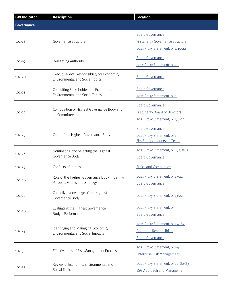| <b>GRI Indicator</b> | <b>Description</b>                                                                     | <b>Location</b>                                                                                         |
|----------------------|----------------------------------------------------------------------------------------|---------------------------------------------------------------------------------------------------------|
| <b>Governance</b>    |                                                                                        |                                                                                                         |
| $102 - 18$           | Governance Structure                                                                   | <b>Board Governance</b><br><b>FirstEnergy Governance Structure</b><br>2021 Proxy Statement, p. 1, 19-22 |
| 102-19               | Delegating Authority                                                                   | <b>Board Governance</b><br>2021 Proxy Statement, p. 20                                                  |
| 102-20               | Executive-level Responsibility for Economic,<br><b>Environmental and Social Topics</b> | <b>Board Governance</b>                                                                                 |
| 102-21               | Consulting Stakeholders on Economic,<br><b>Environmental and Social Topics</b>         | <b>Board Governance</b><br>2021 Proxy Statement, p. 6                                                   |
| 102-22               | Composition of Highest Governance Body and<br>Its Committees                           | <b>Board Governance</b><br><b>FirstEnergy Board of Directors</b><br>2021 Proxy Statement, p. 1, 8-22    |
| 102-23               | Chair of the Highest Governance Body                                                   | <b>Board Governance</b><br>2021 Proxy Statement, p. 1<br><b>FirstEnergy Leadership Team</b>             |
| 102-24               | Nominating and Selecting the Highest<br>Governance Body                                | 2021 Proxy Statement, p. iii, 1, 8-11<br><b>Board Governance</b>                                        |
| $102 - 25$           | Conflicts of Interest                                                                  | <b>Ethics and Compliance</b>                                                                            |
| $102 - 26$           | Role of the Highest Governance Body in Setting<br>Purpose, Values and Strategy         | 2021 Proxy Statement, p. 19-22<br><b>Board Governance</b>                                               |
| 102-27               | Collective Knowledge of the Highest<br>Governance Body                                 | 2021 Proxy Statement, p. 19-22                                                                          |
| 102-28               | Evaluating the Highest Governance<br>Body's Performance                                | 2021 Proxy Statement, p. 5<br><b>Board Governance</b>                                                   |
| 102-29               | Identifying and Managing Economic,<br>Environmental and Social Impacts                 | 2021 Proxy Statement, p. 1-4, 82<br>Corporate Responsibility<br><b>Board Governance</b>                 |
| 102-30               | Effectiveness of Risk Management Process                                               | 2021 Proxy Statement, p. 1-4<br><b>Enterprise Risk Management</b>                                       |
| 102-31               | Review of Economic, Environmental and<br>Social Topics                                 | 2021 Proxy Statement, p. 20, 82-83<br><b>ESG Approach and Management</b>                                |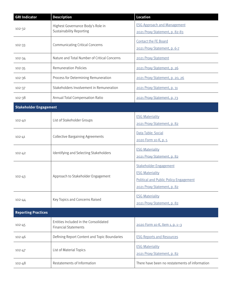| <b>GRI Indicator</b>          | <b>Description</b>                                                   | <b>Location</b>                                                                                                           |
|-------------------------------|----------------------------------------------------------------------|---------------------------------------------------------------------------------------------------------------------------|
| 102-32                        | Highest Governance Body's Role in<br><b>Sustainability Reporting</b> | <b>ESG Approach and Management</b><br>2021 Proxy Statement, p. 82-83                                                      |
| 102-33                        | <b>Communicating Critical Concerns</b>                               | Contact the FE Board<br>2021 Proxy Statement, p. 6-7                                                                      |
| 102-34                        | Nature and Total Number of Critical Concerns                         | 2021 Proxy Statement                                                                                                      |
| 102-35                        | <b>Remuneration Policies</b>                                         | 2021 Proxy Statement, p. 26                                                                                               |
| 102-36                        | Process for Determining Remuneration                                 | 2021 Proxy Statement, p. 20, 26                                                                                           |
| 102-37                        | Stakeholders Involvement in Remuneration                             | 2021 Proxy Statement, p. 31                                                                                               |
| 102-38                        | Annual Total Compensation Ratio                                      | 2021 Proxy Statement, p. 73                                                                                               |
| <b>Stakeholder Engagement</b> |                                                                      |                                                                                                                           |
| 102-40                        | List of Stakeholder Groups                                           | <b>ESG Materiality</b><br>2021 Proxy Statement, p. 82                                                                     |
| $102 - 41$                    | <b>Collective Bargaining Agreements</b>                              | Data Table: Social<br>2020 Form 10-K, p. 5                                                                                |
| $102 - 42$                    | Identifying and Selecting Stakeholders                               | <b>ESG Materiality</b><br>2021 Proxy Statement, p. 82                                                                     |
| $102 - 43$                    | Approach to Stakeholder Engagement                                   | Stakeholder Engagement<br><b>ESG Materiality</b><br>Political and Public Policy Engagement<br>2021 Proxy Statement, p. 82 |
| 102-44                        | Key Topics and Concerns Raised                                       | <b>ESG Materiality</b><br>2021 Proxy Statement, p. 82                                                                     |
| <b>Reporting Practices</b>    |                                                                      |                                                                                                                           |
| $102 - 45$                    | Entities Included in the Consolidated<br><b>Financial Statements</b> | 2020 Form 10-K, Item 1, p. 1-3                                                                                            |
| $102 - 46$                    | Defining Report Content and Topic Boundaries                         | <b>ESG Reports and Resources</b>                                                                                          |
| $102 - 47$                    | List of Material Topics                                              | <b>ESG Materiality</b><br>2021 Proxy Statement, p. 82                                                                     |
| $102 - 48$                    | Restatements of Information                                          | There have been no restatements of information                                                                            |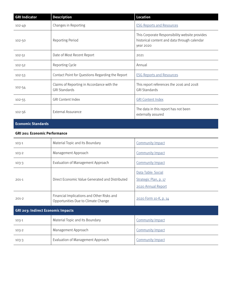| <b>GRI Indicator</b> | <b>Description</b>                                                 | <b>Location</b>                                                                                             |
|----------------------|--------------------------------------------------------------------|-------------------------------------------------------------------------------------------------------------|
| 102-49               | Changes in Reporting                                               | <b>ESG Reports and Resources</b>                                                                            |
| 102-50               | Reporting Period                                                   | This Corporate Responsibility website provides<br>historical content and data through calendar<br>year 2020 |
| 102-51               | Date of Most Recent Report                                         | 2021                                                                                                        |
| 102-52               | Reporting Cycle                                                    | Annual                                                                                                      |
| $102 - 53$           | Contact Point for Questions Regarding the Report                   | <b>ESG Reports and Resources</b>                                                                            |
| 102-54               | Claims of Reporting in Accordance with the<br><b>GRI Standards</b> | This report references the 2016 and 2018<br><b>GRI Standards</b>                                            |
| $102 - 55$           | <b>GRI Content Index</b>                                           | <b>GRI Content Index</b>                                                                                    |
| 102-56               | <b>External Assurance</b>                                          | The data in this report has not been<br>externally assured                                                  |

### **Economic Standards**

#### **GRI 201: Economic Performance**

| $103-1$                            | Material Topic and Its Boundary                                                   | <b>Community Impact</b>                                           |
|------------------------------------|-----------------------------------------------------------------------------------|-------------------------------------------------------------------|
| $103 - 2$                          | Management Approach                                                               | <b>Community Impact</b>                                           |
| $103-3$                            | Evaluation of Management Approach                                                 | <b>Community Impact</b>                                           |
| $201 - 1$                          | Direct Economic Value Generated and Distributed                                   | Data Table: Social<br>Strategic Plan, p. 17<br>2020 Annual Report |
| $201-2$                            | Financial Implications and Other Risks and<br>Opportunities Due to Climate Change | 2020 Form 10-K, p. 14                                             |
| GRI 203: Indirect Economic Impacts |                                                                                   |                                                                   |
| $103-1$                            | Material Topic and Its Boundary                                                   | <b>Community Impact</b>                                           |
| $103 - 2$                          | Management Approach                                                               | <b>Community Impact</b>                                           |
| $103-3$                            | Evaluation of Management Approach                                                 | <b>Community Impact</b>                                           |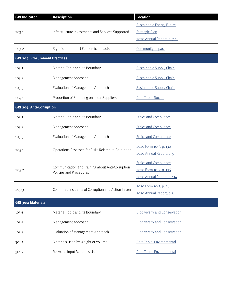| <b>GRI Indicator</b>                  | <b>Description</b>                                                          | <b>Location</b>                      |
|---------------------------------------|-----------------------------------------------------------------------------|--------------------------------------|
|                                       |                                                                             | <b>Sustainable Energy Future</b>     |
| $203-1$                               | Infrastructure Investments and Services Supported                           | <b>Strategic Plan</b>                |
|                                       |                                                                             | 2020 Annual Report, p. 7-11          |
| 203-2                                 | Significant Indirect Economic Impacts                                       | <b>Community Impact</b>              |
| <b>GRI 204: Procurement Practices</b> |                                                                             |                                      |
| 103-1                                 | Material Topic and Its Boundary                                             | <b>Sustainable Supply Chain</b>      |
| $103 - 2$                             | Management Approach                                                         | <b>Sustainable Supply Chain</b>      |
| $103-3$                               | Evaluation of Management Approach                                           | <b>Sustainable Supply Chain</b>      |
| $204 - 1$                             | Proportion of Spending on Local Suppliers                                   | Data Table: Social                   |
| <b>GRI 205: Anti-Corruption</b>       |                                                                             |                                      |
| 103-1                                 | Material Topic and Its Boundary                                             | <b>Ethics and Compliance</b>         |
| $103 - 2$                             | Management Approach                                                         | <b>Ethics and Compliance</b>         |
| $103-3$                               | Evaluation of Management Approach                                           | <b>Ethics and Compliance</b>         |
|                                       | Operations Assessed for Risks Related to Corruption                         | 2020 Form 10-K, p. 130               |
| $205 - 1$                             |                                                                             | 2020 Annual Report, p. 5             |
|                                       | Communication and Training about Anti-Corruption<br>Policies and Procedures | <b>Ethics and Compliance</b>         |
| $205 - 2$                             |                                                                             | 2020 Form 10-K, p. 136               |
|                                       |                                                                             | 2020 Annual Report, p. 114           |
| $205 - 3$                             | Confirmed Incidents of Corruption and Action Taken                          | 2020 Form 10-K, p. 28                |
|                                       |                                                                             | 2020 Annual Report, p. 8             |
| GRI 301: Materials                    |                                                                             |                                      |
| 103-1                                 | Material Topic and Its Boundary                                             | <b>Biodiversity and Conservation</b> |
| $103 - 2$                             | Management Approach                                                         | <b>Biodiversity and Conservation</b> |
| 103-3                                 | Evaluation of Management Approach                                           | <b>Biodiversity and Conservation</b> |
| 301-1                                 | Materials Used by Weight or Volume                                          | Data Table: Environmental            |
| $301 - 2$                             | Recycled Input Materials Used                                               | Data Table: Environmental            |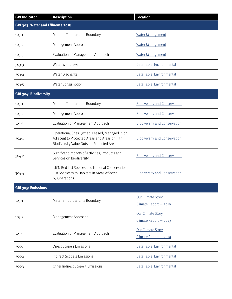| <b>GRI Indicator</b>              | <b>Description</b>                                                                                                                            | <b>Location</b>                            |  |
|-----------------------------------|-----------------------------------------------------------------------------------------------------------------------------------------------|--------------------------------------------|--|
| GRI 303: Water and Effluents 2018 |                                                                                                                                               |                                            |  |
| $103 - 1$                         | Material Topic and Its Boundary                                                                                                               | <b>Water Management</b>                    |  |
| $103 - 2$                         | Management Approach                                                                                                                           | <b>Water Management</b>                    |  |
| $103-3$                           | Evaluation of Management Approach                                                                                                             | <b>Water Management</b>                    |  |
| $303 - 3$                         | Water Withdrawal                                                                                                                              | Data Table: Environmental                  |  |
| 303-4                             | Water Discharge                                                                                                                               | Data Table: Environmental                  |  |
| 303-5                             | Water Consumption                                                                                                                             | Data Table: Environmental                  |  |
| GRI 304: Biodiversity             |                                                                                                                                               |                                            |  |
| $103 - 1$                         | Material Topic and Its Boundary                                                                                                               | <b>Biodiversity and Conservation</b>       |  |
| $103 - 2$                         | Management Approach                                                                                                                           | <b>Biodiversity and Conservation</b>       |  |
| $103-3$                           | Evaluation of Management Approach                                                                                                             | <b>Biodiversity and Conservation</b>       |  |
| 304-1                             | Operational Sites Qwned, Leased, Managed in or<br>Adjacent to Protected Areas and Areas of High<br>Biodiversity Value Outside Protected Areas | <b>Biodiversity and Conservation</b>       |  |
| 304-2                             | Significant Impacts of Activities, Products and<br>Services on Biodiversity                                                                   | <b>Biodiversity and Conservation</b>       |  |
| 304-4                             | <b>IUCN Red List Species and National Conservation</b><br>List Species with Habitats in Areas Affected<br>by Operations                       | <b>Biodiversity and Conservation</b>       |  |
| GRI 305: Emissions                |                                                                                                                                               |                                            |  |
| $103 - 1$                         | Material Topic and Its Boundary                                                                                                               | Our Climate Story<br>Climate Report - 2019 |  |
| $103 - 2$                         | Management Approach                                                                                                                           | Our Climate Story<br>Climate Report - 2019 |  |
| $103-3$                           | Evaluation of Management Approach                                                                                                             | Our Climate Story<br>Climate Report - 2019 |  |
| 305-1                             | Direct Scope 1 Emissions                                                                                                                      | Data Table: Environmental                  |  |
| $305 - 2$                         | Indirect Scope 2 Emissions                                                                                                                    | Data Table: Environmental                  |  |
| $305 - 3$                         | Other Indirect Scope 3 Emissions                                                                                                              | Data Table: Environmental                  |  |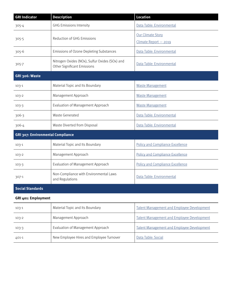| <b>GRI Indicator</b>                     | <b>Description</b>                                                            | <b>Location</b>                                   |  |
|------------------------------------------|-------------------------------------------------------------------------------|---------------------------------------------------|--|
| 305-4                                    | <b>GHG Emissions Intensity</b>                                                | Data Table: Environmental                         |  |
|                                          |                                                                               | Our Climate Story                                 |  |
| 305-5                                    | Reduction of GHG Emissions                                                    | Climate Report - 2019                             |  |
| $305 - 6$                                | Emissions of Ozone Depleting Substances                                       | Data Table: Environmental                         |  |
| 305-7                                    | Nitrogen Oxides (NOx), Sulfur Oxides (SOx) and<br>Other Significant Emissions | Data Table: Environmental                         |  |
| GRI 306: Waste                           |                                                                               |                                                   |  |
| $103 - 1$                                | Material Topic and Its Boundary                                               | <b>Waste Management</b>                           |  |
| $103 - 2$                                | Management Approach                                                           | <b>Waste Management</b>                           |  |
| $103-3$                                  | Evaluation of Management Approach                                             | <b>Waste Management</b>                           |  |
| 306-3                                    | Waste Generated                                                               | Data Table: Environmental                         |  |
| 306-4                                    | Waste Diverted from Disposal                                                  | Data Table: Environmental                         |  |
| <b>GRI 307: Environmental Compliance</b> |                                                                               |                                                   |  |
| $103 - 1$                                | Material Topic and Its Boundary                                               | <b>Policy and Compliance Excellence</b>           |  |
| $103 - 2$                                | Management Approach                                                           | <b>Policy and Compliance Excellence</b>           |  |
| $103-3$                                  | Evaluation of Management Approach                                             | <b>Policy and Compliance Excellence</b>           |  |
| 307-1                                    | Non-Compliance with Environmental Laws<br>and Regulations                     | Data Table: Environmental                         |  |
| <b>Social Standards</b>                  |                                                                               |                                                   |  |
| <b>GRI 401: Employment</b>               |                                                                               |                                                   |  |
| $103 - 1$                                | Material Topic and Its Boundary                                               | <b>Talent Management and Employee Development</b> |  |
| $103 - 2$                                | Management Approach                                                           | <b>Talent Management and Employee Development</b> |  |
| $103-3$                                  | Evaluation of Management Approach                                             | <b>Talent Management and Employee Development</b> |  |
| 401-1                                    | New Employee Hires and Employee Turnover                                      | Data Table: Social                                |  |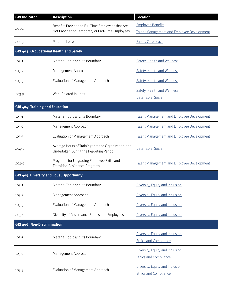| <b>GRI Indicator</b>                            | <b>Description</b>                                                                                    | <b>Location</b>                                                               |
|-------------------------------------------------|-------------------------------------------------------------------------------------------------------|-------------------------------------------------------------------------------|
| 401-2                                           | Benefits Provided to Full-Time Employees that Are<br>Not Provided to Temporary or Part-Time Employees | <b>Employee Benefits</b><br><b>Talent Management and Employee Development</b> |
| 401-3                                           | Parental Leave                                                                                        | <b>Family Care Leave</b>                                                      |
| GRI 403: Occupational Health and Safety         |                                                                                                       |                                                                               |
| $103 - 1$                                       | Material Topic and Its Boundary                                                                       | Safety, Health and Wellness                                                   |
| $103 - 2$                                       | Management Approach                                                                                   | Safety, Health and Wellness                                                   |
| $103-3$                                         | Evaluation of Management Approach                                                                     | Safety, Health and Wellness                                                   |
| 403-9                                           | Work-Related Injuries                                                                                 | Safety, Health and Wellness<br>Data Table: Social                             |
| GRI 404: Training and Education                 |                                                                                                       |                                                                               |
| $103 - 1$                                       | Material Topic and Its Boundary                                                                       | <b>Talent Management and Employee Development</b>                             |
| $103 - 2$                                       | Management Approach                                                                                   | <b>Talent Management and Employee Development</b>                             |
| $103-3$                                         | Evaluation of Management Approach                                                                     | Talent Management and Employee Development                                    |
| 404-1                                           | Average Hours of Training that the Organization Has<br>Undertaken During the Reporting Period         | Data Table: Social                                                            |
| 404-5                                           | Programs for Upgrading Employee Skills and<br><b>Transition Assistance Programs</b>                   | Talent Management and Employee Development                                    |
| <b>GRI 405: Diversity and Equal Opportunity</b> |                                                                                                       |                                                                               |
| $103-1$                                         | Material Topic and Its Boundary                                                                       | Diversity, Equity and Inclusion                                               |
| 103-2                                           | Management Approach                                                                                   | Diversity, Equity and Inclusion                                               |
| $103-3$                                         | Evaluation of Management Approach                                                                     | Diversity, Equity and Inclusion                                               |
| 405-1                                           | Diversity of Governance Bodies and Employees                                                          | Diversity, Equity and Inclusion                                               |
| <b>GRI 406: Non-Discrimination</b>              |                                                                                                       |                                                                               |
| $103 - 1$                                       | Material Topic and Its Boundary                                                                       | Diversity, Equity and Inclusion<br><b>Ethics and Compliance</b>               |
| $103 - 2$                                       | Management Approach                                                                                   | Diversity, Equity and Inclusion<br><b>Ethics and Compliance</b>               |
| $103-3$                                         | Evaluation of Management Approach                                                                     | Diversity, Equity and Inclusion<br><b>Ethics and Compliance</b>               |